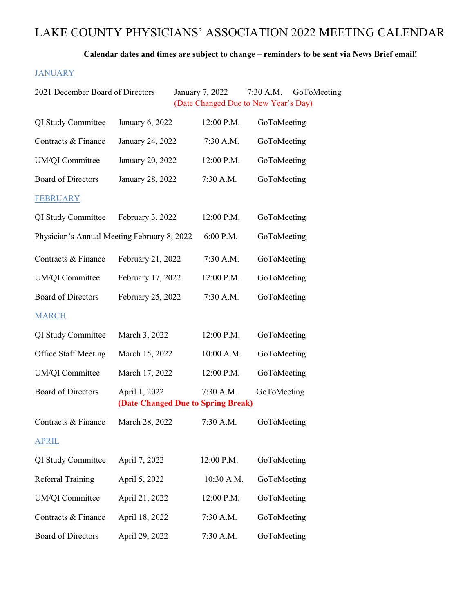# LAKE COUNTY PHYSICIANS' ASSOCIATION 2022 MEETING CALENDAR

Calendar dates and times are subject to change – reminders to be sent via News Brief email!

#### **JANUARY**

| 2021 December Board of Directors            |                   | January 7, 2022<br>(Date Changed Due to New Year's Day) | 7:30 A.M.<br>GoToMeeting |
|---------------------------------------------|-------------------|---------------------------------------------------------|--------------------------|
| QI Study Committee                          | January 6, 2022   | 12:00 P.M.                                              | GoToMeeting              |
| Contracts & Finance                         | January 24, 2022  | 7:30 A.M.                                               | GoToMeeting              |
| UM/QI Committee                             | January 20, 2022  | 12:00 P.M.                                              | GoToMeeting              |
| <b>Board of Directors</b>                   | January 28, 2022  | 7:30 A.M.                                               | GoToMeeting              |
| <b>FEBRUARY</b>                             |                   |                                                         |                          |
| QI Study Committee                          | February 3, 2022  | 12:00 P.M.                                              | GoToMeeting              |
| Physician's Annual Meeting February 8, 2022 |                   | 6:00 P.M.                                               | GoToMeeting              |
| Contracts & Finance                         | February 21, 2022 | 7:30 A.M.                                               | GoToMeeting              |
| UM/QI Committee                             | February 17, 2022 | 12:00 P.M.                                              | GoToMeeting              |
| <b>Board of Directors</b>                   | February 25, 2022 | 7:30 A.M.                                               | GoToMeeting              |
| <b>MARCH</b>                                |                   |                                                         |                          |
| QI Study Committee                          | March 3, 2022     | 12:00 P.M.                                              | GoToMeeting              |
| <b>Office Staff Meeting</b>                 | March 15, 2022    | 10:00 A.M.                                              | GoToMeeting              |
| UM/QI Committee                             | March 17, 2022    | 12:00 P.M.                                              | GoToMeeting              |
| <b>Board of Directors</b>                   | April 1, 2022     | 7:30 A.M.<br>(Date Changed Due to Spring Break)         | GoToMeeting              |
| Contracts & Finance                         | March 28, 2022    | 7:30 A.M.                                               | GoToMeeting              |
| <b>APRIL</b>                                |                   |                                                         |                          |
| QI Study Committee                          | April 7, 2022     | 12:00 P.M.                                              | GoToMeeting              |
| <b>Referral Training</b>                    | April 5, 2022     | 10:30 A.M.                                              | GoToMeeting              |
| UM/QI Committee                             | April 21, 2022    | 12:00 P.M.                                              | GoToMeeting              |
| Contracts & Finance                         | April 18, 2022    | 7:30 A.M.                                               | GoToMeeting              |
| Board of Directors                          | April 29, 2022    | 7:30 A.M.                                               | GoToMeeting              |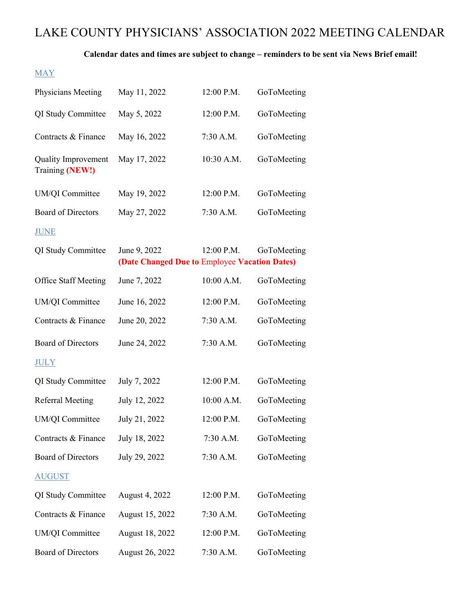# LAKE COUNTY PHYSICIANS' ASSOCIATION 2022 MEETING CALENDAR

### Calendar dates and times are subject to change – reminders to be sent via News Brief email!

### MAY

| Physicians Meeting                            | May 11, 2022                                                  | 12:00 P.M. | GoToMeeting |
|-----------------------------------------------|---------------------------------------------------------------|------------|-------------|
| QI Study Committee                            | May 5, 2022                                                   | 12:00 P.M. | GoToMeeting |
| Contracts & Finance                           | May 16, 2022                                                  | 7:30 A.M.  | GoToMeeting |
| <b>Quality Improvement</b><br>Training (NEW!) | May 17, 2022                                                  | 10:30 A.M. | GoToMeeting |
| UM/QI Committee                               | May 19, 2022                                                  | 12:00 P.M. | GoToMeeting |
| <b>Board of Directors</b>                     | May 27, 2022                                                  | 7:30 A.M.  | GoToMeeting |
| <b>JUNE</b>                                   |                                                               |            |             |
| QI Study Committee                            | June 9, 2022<br>(Date Changed Due to Employee Vacation Dates) | 12:00 P.M. | GoToMeeting |
| <b>Office Staff Meeting</b>                   | June 7, 2022                                                  | 10:00 A.M. | GoToMeeting |
| UM/QI Committee                               | June 16, 2022                                                 | 12:00 P.M. | GoToMeeting |
| Contracts & Finance                           | June 20, 2022                                                 | 7:30 A.M.  | GoToMeeting |
| <b>Board of Directors</b>                     | June 24, 2022                                                 | 7:30 A.M.  | GoToMeeting |
| <b>JULY</b>                                   |                                                               |            |             |
| QI Study Committee                            | July 7, 2022                                                  | 12:00 P.M. | GoToMeeting |
| <b>Referral Meeting</b>                       | July 12, 2022                                                 | 10:00 A.M. | GoToMeeting |
| UM/QI Committee                               | July 21, 2022                                                 | 12:00 P.M. | GoToMeeting |
| Contracts & Finance                           | July 18, 2022                                                 | 7:30 A.M.  | GoToMeeting |
| <b>Board of Directors</b>                     | July 29, 2022                                                 | 7:30 A.M.  | GoToMeeting |
| <b>AUGUST</b>                                 |                                                               |            |             |
| QI Study Committee                            | August 4, 2022                                                | 12:00 P.M. | GoToMeeting |
| Contracts & Finance                           | August 15, 2022                                               | 7:30 A.M.  | GoToMeeting |
| UM/QI Committee                               | August 18, 2022                                               | 12:00 P.M. | GoToMeeting |
| Board of Directors                            | August 26, 2022                                               | 7:30 A.M.  | GoToMeeting |